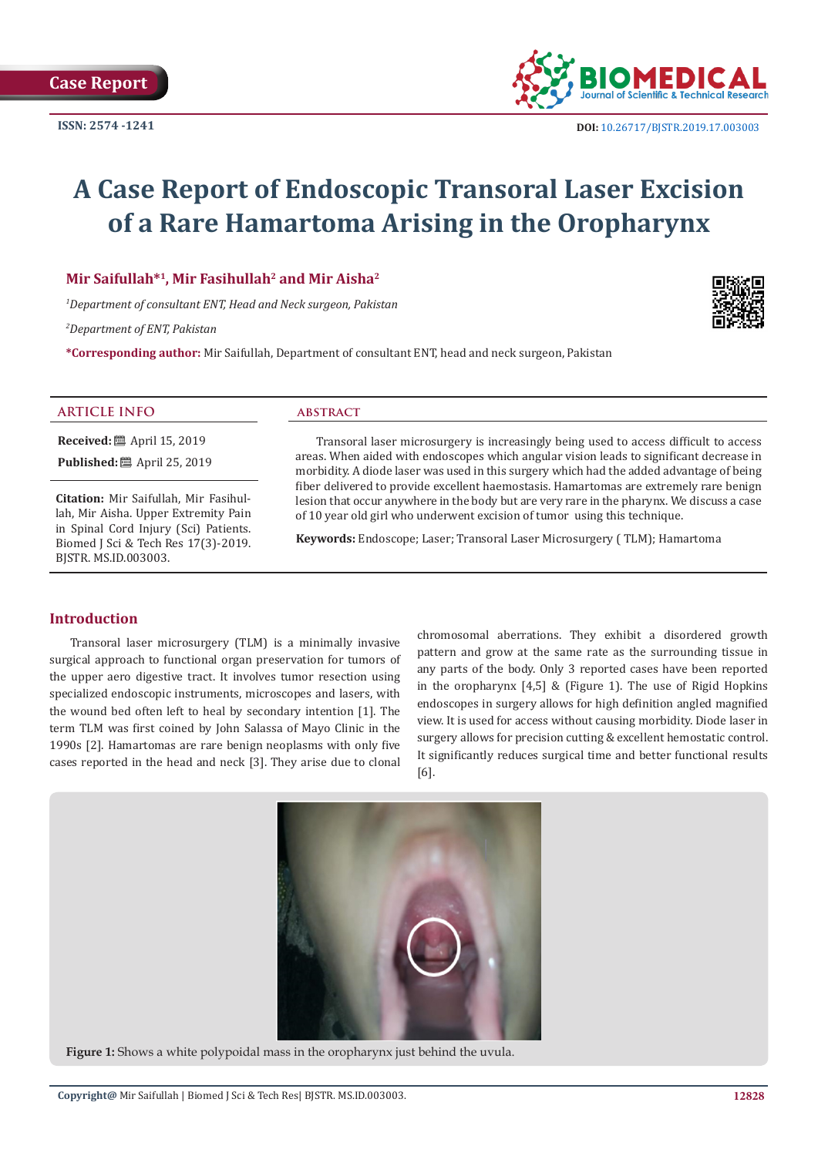

# **A Case Report of Endoscopic Transoral Laser Excision of a Rare Hamartoma Arising in the Oropharynx**

**Mir Saifullah\*1, Mir Fasihullah2 and Mir Aisha2**

*1 Department of consultant ENT, Head and Neck surgeon, Pakistan*

*2 Department of ENT, Pakistan*

**\*Corresponding author:** Mir Saifullah, Department of consultant ENT, head and neck surgeon, Pakistan

#### **ARTICLE INFO abstract**

**Received:** ■ April 15, 2019 **Published:** ■ April 25, 2019

**Citation:** Mir Saifullah, Mir Fasihullah, Mir Aisha. Upper Extremity Pain in Spinal Cord Injury (Sci) Patients. Biomed J Sci & Tech Res 17(3)-2019. BJSTR. MS.ID.003003.

Transoral laser microsurgery is increasingly being used to access difficult to access areas. When aided with endoscopes which angular vision leads to significant decrease in morbidity. A diode laser was used in this surgery which had the added advantage of being fiber delivered to provide excellent haemostasis. Hamartomas are extremely rare benign lesion that occur anywhere in the body but are very rare in the pharynx. We discuss a case of 10 year old girl who underwent excision of tumor using this technique.

**Keywords:** Endoscope; Laser; Transoral Laser Microsurgery ( TLM); Hamartoma

# **Introduction**

Transoral laser microsurgery (TLM) is a minimally invasive surgical approach to functional organ preservation for tumors of the upper aero digestive tract. It involves tumor resection using specialized endoscopic instruments, microscopes and lasers, with the wound bed often left to heal by secondary intention [1]. The term TLM was first coined by John Salassa of Mayo Clinic in the 1990s [2]. Hamartomas are rare benign neoplasms with only five cases reported in the head and neck [3]. They arise due to clonal

chromosomal aberrations. They exhibit a disordered growth pattern and grow at the same rate as the surrounding tissue in any parts of the body. Only 3 reported cases have been reported in the oropharynx [4,5] & (Figure 1). The use of Rigid Hopkins endoscopes in surgery allows for high definition angled magnified view. It is used for access without causing morbidity. Diode laser in surgery allows for precision cutting & excellent hemostatic control. It significantly reduces surgical time and better functional results [6].



**Figure 1:** Shows a white polypoidal mass in the oropharynx just behind the uvula.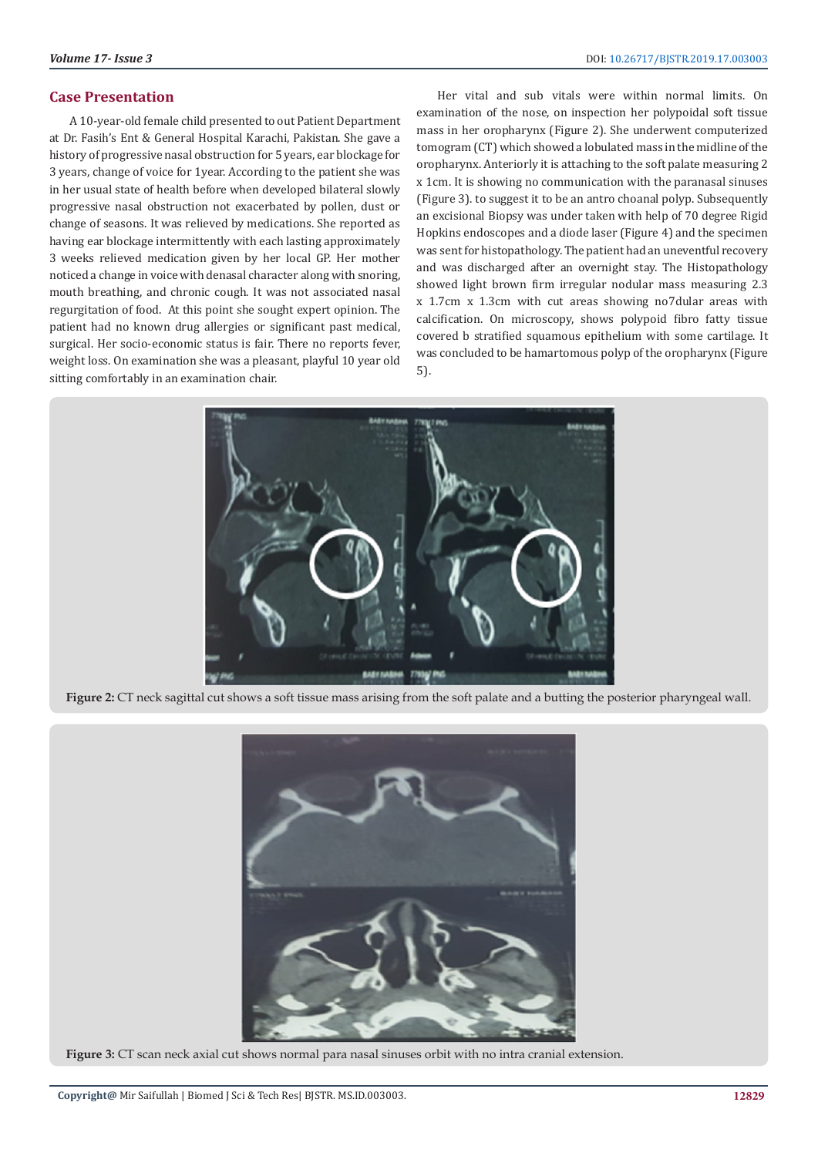## **Case Presentation**

A 10-year-old female child presented to out Patient Department at Dr. Fasih's Ent & General Hospital Karachi, Pakistan. She gave a history of progressive nasal obstruction for 5 years, ear blockage for 3 years, change of voice for 1year. According to the patient she was in her usual state of health before when developed bilateral slowly progressive nasal obstruction not exacerbated by pollen, dust or change of seasons. It was relieved by medications. She reported as having ear blockage intermittently with each lasting approximately 3 weeks relieved medication given by her local GP. Her mother noticed a change in voice with denasal character along with snoring, mouth breathing, and chronic cough. It was not associated nasal regurgitation of food. At this point she sought expert opinion. The patient had no known drug allergies or significant past medical, surgical. Her socio-economic status is fair. There no reports fever, weight loss. On examination she was a pleasant, playful 10 year old sitting comfortably in an examination chair.

Her vital and sub vitals were within normal limits. On examination of the nose, on inspection her polypoidal soft tissue mass in her oropharynx (Figure 2). She underwent computerized tomogram (CT) which showed a lobulated mass in the midline of the oropharynx. Anteriorly it is attaching to the soft palate measuring 2 x 1cm. It is showing no communication with the paranasal sinuses (Figure 3). to suggest it to be an antro choanal polyp. Subsequently an excisional Biopsy was under taken with help of 70 degree Rigid Hopkins endoscopes and a diode laser (Figure 4) and the specimen was sent for histopathology. The patient had an uneventful recovery and was discharged after an overnight stay. The Histopathology showed light brown firm irregular nodular mass measuring 2.3 x 1.7cm x 1.3cm with cut areas showing no7dular areas with calcification. On microscopy, shows polypoid fibro fatty tissue covered b stratified squamous epithelium with some cartilage. It was concluded to be hamartomous polyp of the oropharynx (Figure 5).



Figure 2: CT neck sagittal cut shows a soft tissue mass arising from the soft palate and a butting the posterior pharyngeal wall.



**Figure 3:** CT scan neck axial cut shows normal para nasal sinuses orbit with no intra cranial extension.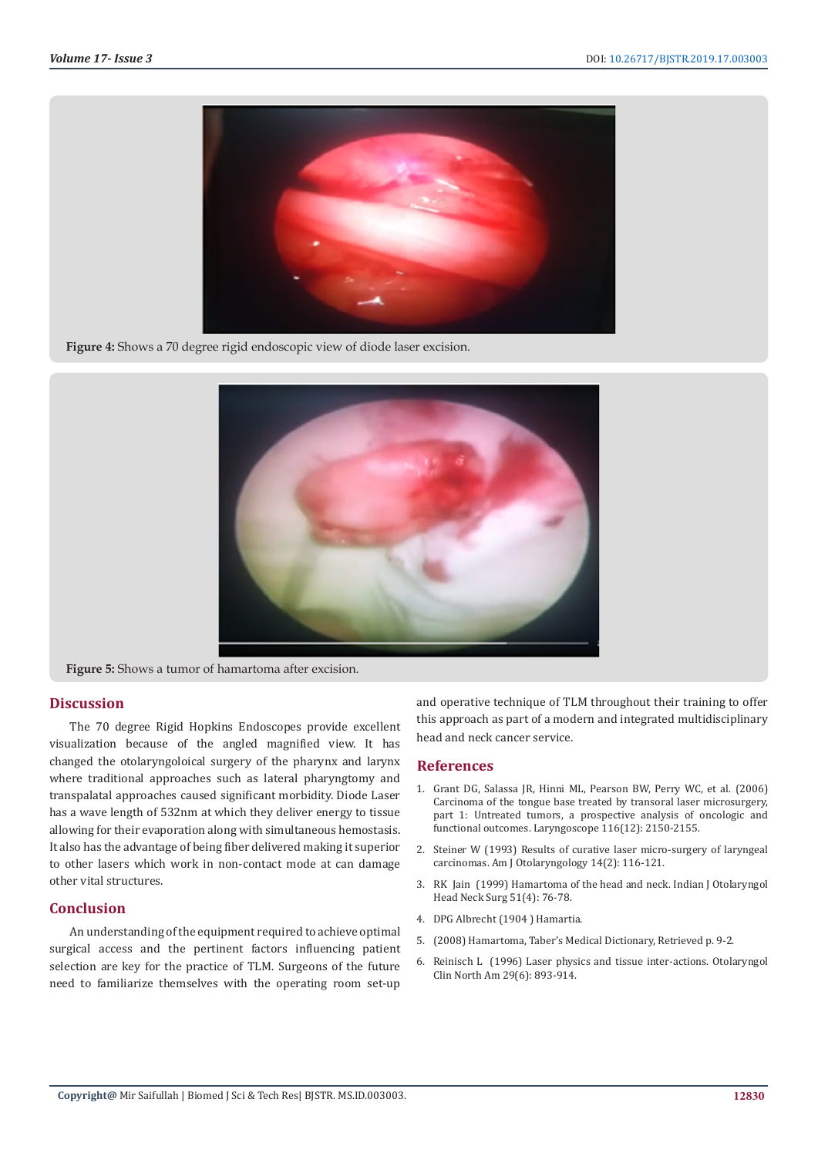

**Figure 4:** Shows a 70 degree rigid endoscopic view of diode laser excision.



**Figure 5:** Shows a tumor of hamartoma after excision.

### **Discussion**

The 70 degree Rigid Hopkins Endoscopes provide excellent visualization because of the angled magnified view. It has changed the otolaryngoloical surgery of the pharynx and larynx where traditional approaches such as lateral pharyngtomy and transpalatal approaches caused significant morbidity. Diode Laser has a wave length of 532nm at which they deliver energy to tissue allowing for their evaporation along with simultaneous hemostasis. It also has the advantage of being fiber delivered making it superior to other lasers which work in non-contact mode at can damage other vital structures.

#### **Conclusion**

An understanding of the equipment required to achieve optimal surgical access and the pertinent factors influencing patient selection are key for the practice of TLM. Surgeons of the future need to familiarize themselves with the operating room set-up

and operative technique of TLM throughout their training to offer this approach as part of a modern and integrated multidisciplinary head and neck cancer service.

#### **References**

- 1. [Grant DG, Salassa JR, Hinni ML, Pearson BW, Perry WC, et al. \(2006\)](https://www.ncbi.nlm.nih.gov/pubmed/17146388) [Carcinoma of the tongue base treated by transoral laser microsurgery,](https://www.ncbi.nlm.nih.gov/pubmed/17146388) [part 1: Untreated tumors, a prospective analysis of oncologic and](https://www.ncbi.nlm.nih.gov/pubmed/17146388) [functional outcomes. Laryngoscope 116\(12\): 2150-2155.](https://www.ncbi.nlm.nih.gov/pubmed/17146388)
- 2. [Steiner W \(1993\) Results of curative laser micro-surgery of laryngeal](https://www.ncbi.nlm.nih.gov/pubmed/8484476) [carcinomas. Am J Otolaryngology 14\(2\): 116-121.](https://www.ncbi.nlm.nih.gov/pubmed/8484476)
- 3. [RK Jain \(1999\) Hamartoma of the head and neck. Indian J Otolaryngol](https://www.ncbi.nlm.nih.gov/pmc/articles/PMC3451394/) [Head Neck Surg 51\(4\): 76-78.](https://www.ncbi.nlm.nih.gov/pmc/articles/PMC3451394/)
- 4. DPG Albrecht (1904 ) Hamartia.
- 5. (2008) Hamartoma, Taber's Medical Dictionary, Retrieved p. 9-2.
- 6. [Reinisch L \(1996\) Laser physics and tissue inter-actions. Otolaryngol](https://www.ncbi.nlm.nih.gov/pubmed/8890123) [Clin North Am 29\(6\): 893-914.](https://www.ncbi.nlm.nih.gov/pubmed/8890123)